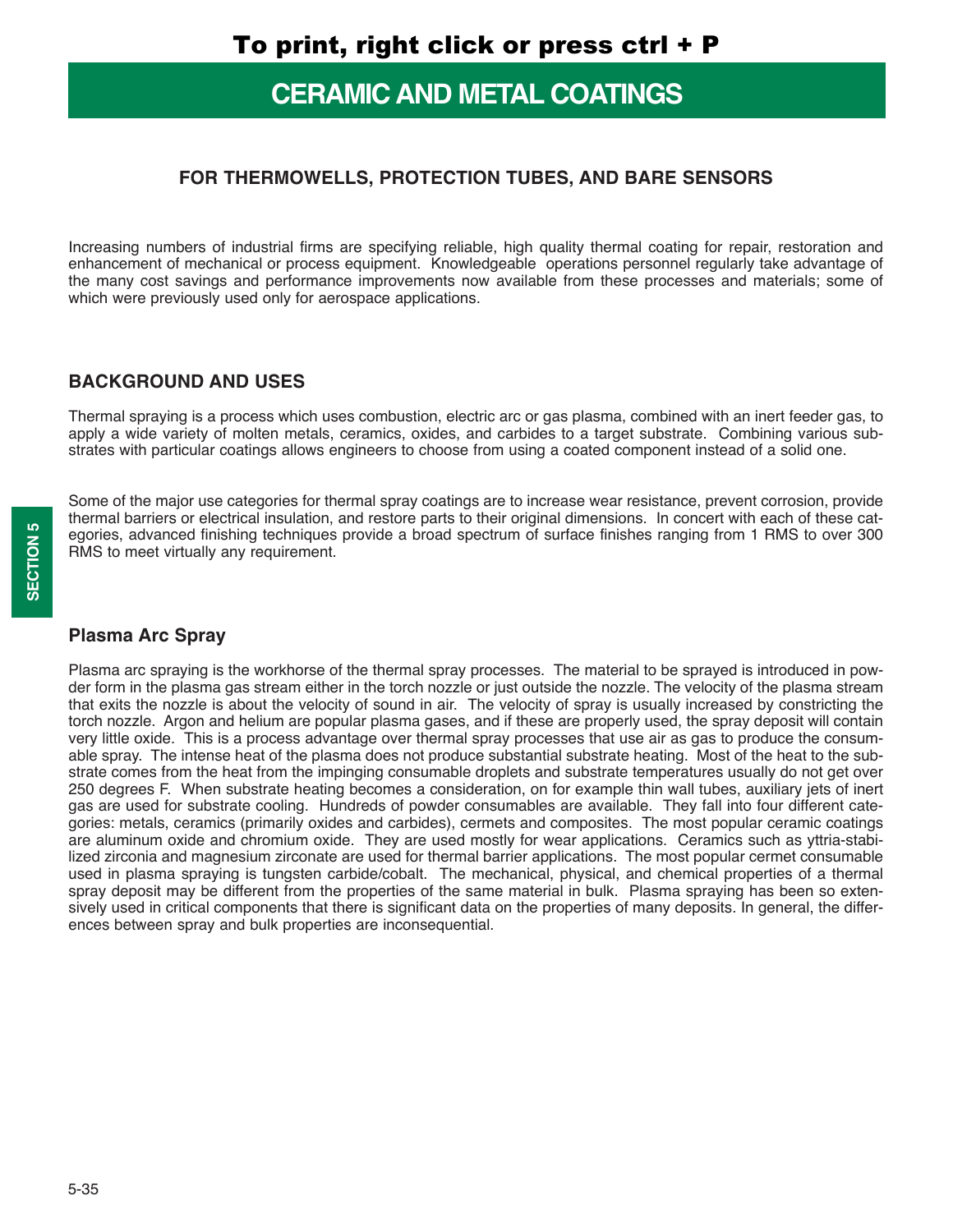# **CERAMIC AND METAL COATINGS**

#### **FOR THERMOWELLS, PROTECTION TUBES, AND BARE SENSORS**

Increasing numbers of industrial firms are specifying reliable, high quality thermal coating for repair, restoration and enhancement of mechanical or process equipment. Knowledgeable operations personnel regularly take advantage of the many cost savings and performance improvements now available from these processes and materials; some of which were previously used only for aerospace applications.

#### **BACKGROUND AND USES**

Thermal spraying is a process which uses combustion, electric arc or gas plasma, combined with an inert feeder gas, to apply a wide variety of molten metals, ceramics, oxides, and carbides to a target substrate. Combining various substrates with particular coatings allows engineers to choose from using a coated component instead of a solid one.

Some of the major use categories for thermal spray coatings are to increase wear resistance, prevent corrosion, provide thermal barriers or electrical insulation, and restore parts to their original dimensions. In concert with each of these categories, advanced finishing techniques provide a broad spectrum of surface finishes ranging from 1 RMS to over 300 RMS to meet virtually any requirement.

#### **Plasma Arc Spray**

Plasma arc spraying is the workhorse of the thermal spray processes. The material to be sprayed is introduced in powder form in the plasma gas stream either in the torch nozzle or just outside the nozzle. The velocity of the plasma stream that exits the nozzle is about the velocity of sound in air. The velocity of spray is usually increased by constricting the torch nozzle. Argon and helium are popular plasma gases, and if these are properly used, the spray deposit will contain very little oxide. This is a process advantage over thermal spray processes that use air as gas to produce the consumable spray. The intense heat of the plasma does not produce substantial substrate heating. Most of the heat to the substrate comes from the heat from the impinging consumable droplets and substrate temperatures usually do not get over 250 degrees F. When substrate heating becomes a consideration, on for example thin wall tubes, auxiliary jets of inert gas are used for substrate cooling. Hundreds of powder consumables are available. They fall into four different categories: metals, ceramics (primarily oxides and carbides), cermets and composites. The most popular ceramic coatings are aluminum oxide and chromium oxide. They are used mostly for wear applications. Ceramics such as yttria-stabilized zirconia and magnesium zirconate are used for thermal barrier applications. The most popular cermet consumable used in plasma spraying is tungsten carbide/cobalt. The mechanical, physical, and chemical properties of a thermal spray deposit may be different from the properties of the same material in bulk. Plasma spraying has been so extensively used in critical components that there is significant data on the properties of many deposits. In general, the differences between spray and bulk properties are inconsequential.